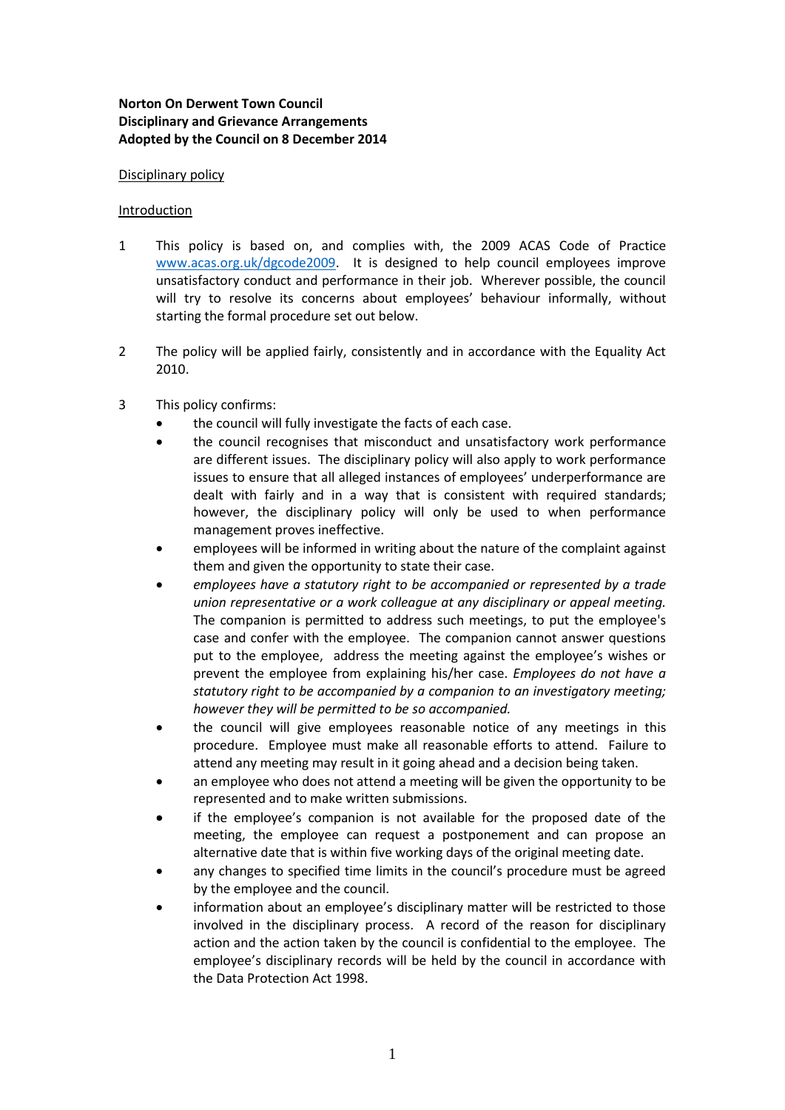# **Norton On Derwent Town Council Disciplinary and Grievance Arrangements Adopted by the Council on 8 December 2014**

### Disciplinary policy

### Introduction

- 1 This policy is based on, and complies with, the 2009 ACAS Code of Practice [www.acas.org.uk/dgcode2009.](http://www.acas.org.uk/dgcode2009) It is designed to help council employees improve unsatisfactory conduct and performance in their job. Wherever possible, the council will try to resolve its concerns about employees' behaviour informally, without starting the formal procedure set out below.
- 2 The policy will be applied fairly, consistently and in accordance with the Equality Act 2010.
- 3 This policy confirms:
	- the council will fully investigate the facts of each case.
	- the council recognises that misconduct and unsatisfactory work performance are different issues. The disciplinary policy will also apply to work performance issues to ensure that all alleged instances of employees' underperformance are dealt with fairly and in a way that is consistent with required standards; however, the disciplinary policy will only be used to when performance management proves ineffective.
	- employees will be informed in writing about the nature of the complaint against them and given the opportunity to state their case.
	- *employees have a statutory right to be accompanied or represented by a trade union representative or a work colleague at any disciplinary or appeal meeting.* The companion is permitted to address such meetings, to put the employee's case and confer with the employee. The companion cannot answer questions put to the employee, address the meeting against the employee's wishes or prevent the employee from explaining his/her case. *Employees do not have a statutory right to be accompanied by a companion to an investigatory meeting; however they will be permitted to be so accompanied.*
	- the council will give employees reasonable notice of any meetings in this procedure. Employee must make all reasonable efforts to attend. Failure to attend any meeting may result in it going ahead and a decision being taken.
	- an employee who does not attend a meeting will be given the opportunity to be represented and to make written submissions.
	- if the employee's companion is not available for the proposed date of the meeting, the employee can request a postponement and can propose an alternative date that is within five working days of the original meeting date.
	- any changes to specified time limits in the council's procedure must be agreed by the employee and the council.
	- information about an employee's disciplinary matter will be restricted to those involved in the disciplinary process. A record of the reason for disciplinary action and the action taken by the council is confidential to the employee. The employee's disciplinary records will be held by the council in accordance with the Data Protection Act 1998.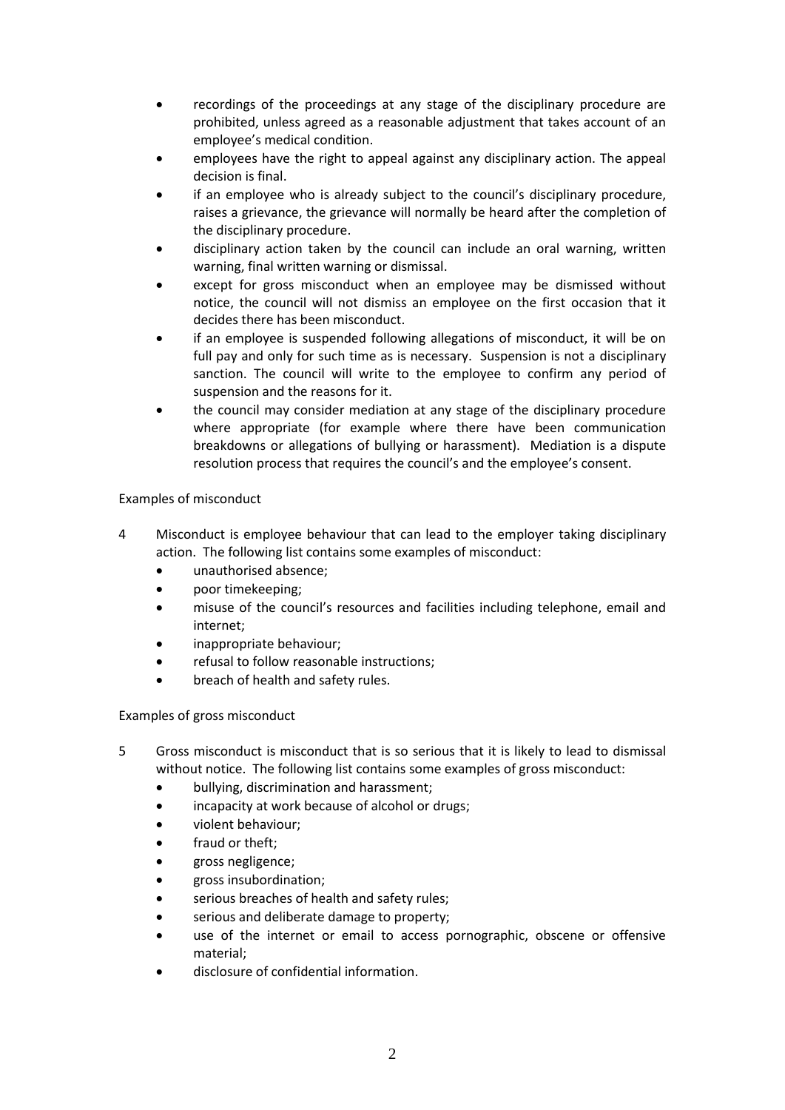- recordings of the proceedings at any stage of the disciplinary procedure are prohibited, unless agreed as a reasonable adjustment that takes account of an employee's medical condition.
- employees have the right to appeal against any disciplinary action. The appeal decision is final.
- if an employee who is already subject to the council's disciplinary procedure, raises a grievance, the grievance will normally be heard after the completion of the disciplinary procedure.
- disciplinary action taken by the council can include an oral warning, written warning, final written warning or dismissal.
- except for gross misconduct when an employee may be dismissed without notice, the council will not dismiss an employee on the first occasion that it decides there has been misconduct.
- if an employee is suspended following allegations of misconduct, it will be on full pay and only for such time as is necessary. Suspension is not a disciplinary sanction. The council will write to the employee to confirm any period of suspension and the reasons for it.
- the council may consider mediation at any stage of the disciplinary procedure where appropriate (for example where there have been communication breakdowns or allegations of bullying or harassment). Mediation is a dispute resolution process that requires the council's and the employee's consent.

# Examples of misconduct

- 4 Misconduct is employee behaviour that can lead to the employer taking disciplinary action. The following list contains some examples of misconduct:
	- unauthorised absence;
	- poor timekeeping;
	- misuse of the council's resources and facilities including telephone, email and internet;
	- inappropriate behaviour;
	- refusal to follow reasonable instructions;
	- breach of health and safety rules.

# Examples of gross misconduct

- 5 Gross misconduct is misconduct that is so serious that it is likely to lead to dismissal without notice. The following list contains some examples of gross misconduct:
	- bullying, discrimination and harassment;
	- incapacity at work because of alcohol or drugs;
	- violent behaviour;
	- fraud or theft;
	- gross negligence:
	- gross insubordination;
	- serious breaches of health and safety rules;
	- serious and deliberate damage to property;
	- use of the internet or email to access pornographic, obscene or offensive material;
	- disclosure of confidential information.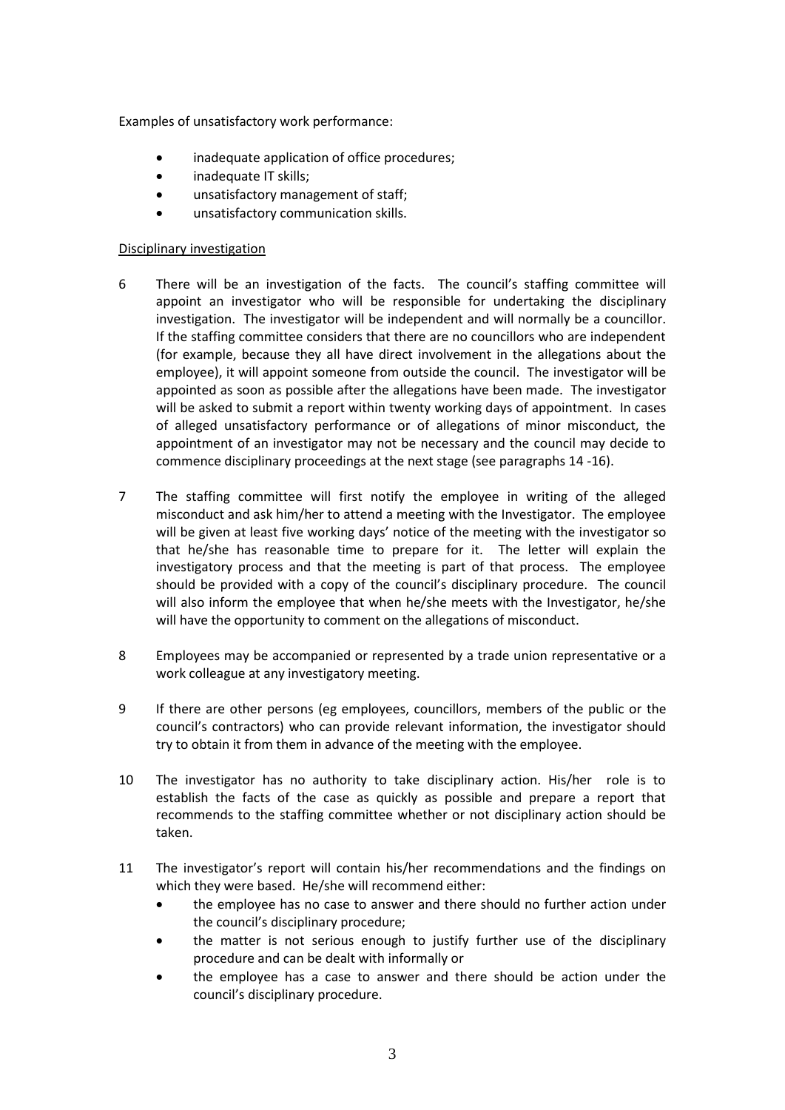Examples of unsatisfactory work performance:

- inadequate application of office procedures;
- inadequate IT skills;
- unsatisfactory management of staff;
- unsatisfactory communication skills.

# Disciplinary investigation

- 6 There will be an investigation of the facts. The council's staffing committee will appoint an investigator who will be responsible for undertaking the disciplinary investigation. The investigator will be independent and will normally be a councillor. If the staffing committee considers that there are no councillors who are independent (for example, because they all have direct involvement in the allegations about the employee), it will appoint someone from outside the council. The investigator will be appointed as soon as possible after the allegations have been made. The investigator will be asked to submit a report within twenty working days of appointment. In cases of alleged unsatisfactory performance or of allegations of minor misconduct, the appointment of an investigator may not be necessary and the council may decide to commence disciplinary proceedings at the next stage (see paragraphs 14 -16).
- 7 The staffing committee will first notify the employee in writing of the alleged misconduct and ask him/her to attend a meeting with the Investigator. The employee will be given at least five working days' notice of the meeting with the investigator so that he/she has reasonable time to prepare for it. The letter will explain the investigatory process and that the meeting is part of that process. The employee should be provided with a copy of the council's disciplinary procedure. The council will also inform the employee that when he/she meets with the Investigator, he/she will have the opportunity to comment on the allegations of misconduct.
- 8 Employees may be accompanied or represented by a trade union representative or a work colleague at any investigatory meeting.
- 9 If there are other persons (eg employees, councillors, members of the public or the council's contractors) who can provide relevant information, the investigator should try to obtain it from them in advance of the meeting with the employee.
- 10 The investigator has no authority to take disciplinary action. His/her role is to establish the facts of the case as quickly as possible and prepare a report that recommends to the staffing committee whether or not disciplinary action should be taken.
- 11 The investigator's report will contain his/her recommendations and the findings on which they were based. He/she will recommend either:
	- the employee has no case to answer and there should no further action under the council's disciplinary procedure;
	- the matter is not serious enough to justify further use of the disciplinary procedure and can be dealt with informally or
	- the employee has a case to answer and there should be action under the council's disciplinary procedure.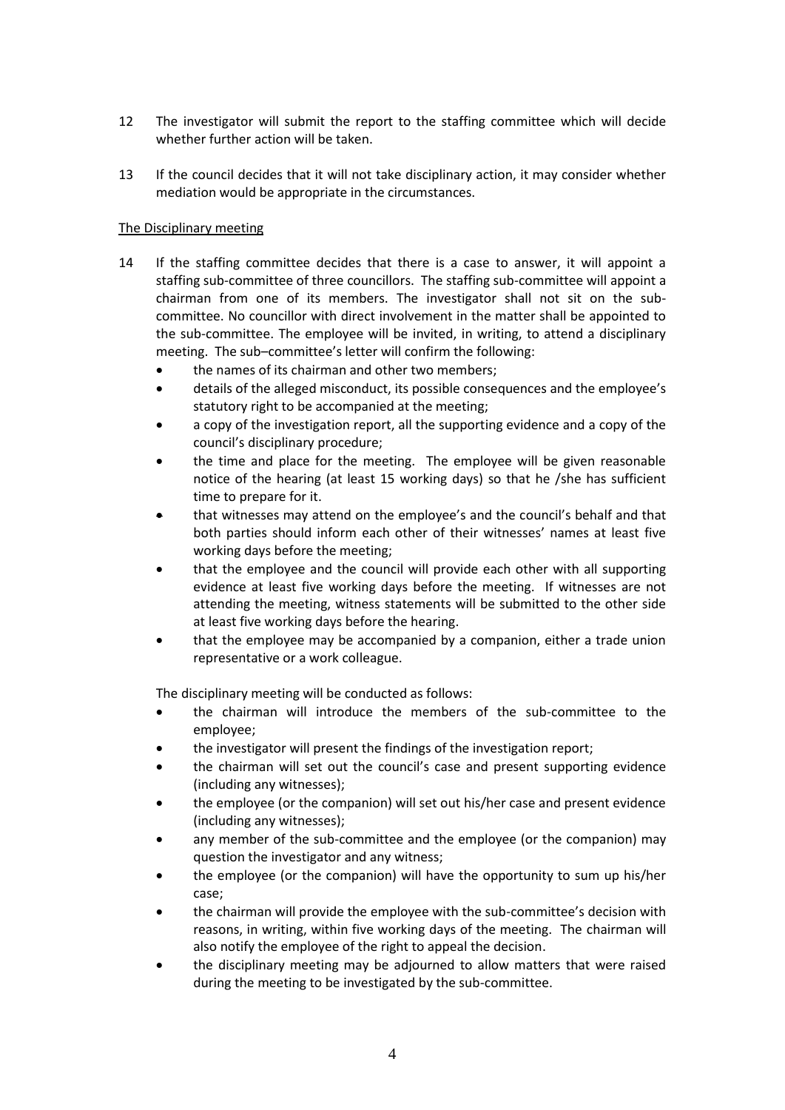- 12 The investigator will submit the report to the staffing committee which will decide whether further action will be taken.
- 13 If the council decides that it will not take disciplinary action, it may consider whether mediation would be appropriate in the circumstances.

## The Disciplinary meeting

- 14 If the staffing committee decides that there is a case to answer, it will appoint a staffing sub-committee of three councillors. The staffing sub-committee will appoint a chairman from one of its members. The investigator shall not sit on the subcommittee. No councillor with direct involvement in the matter shall be appointed to the sub-committee. The employee will be invited, in writing, to attend a disciplinary meeting. The sub–committee's letter will confirm the following:
	- the names of its chairman and other two members;
	- details of the alleged misconduct, its possible consequences and the employee's statutory right to be accompanied at the meeting;
	- a copy of the investigation report, all the supporting evidence and a copy of the council's disciplinary procedure;
	- the time and place for the meeting. The employee will be given reasonable notice of the hearing (at least 15 working days) so that he /she has sufficient time to prepare for it.
	- that witnesses may attend on the employee's and the council's behalf and that both parties should inform each other of their witnesses' names at least five working days before the meeting;
	- that the employee and the council will provide each other with all supporting evidence at least five working days before the meeting. If witnesses are not attending the meeting, witness statements will be submitted to the other side at least five working days before the hearing.
	- that the employee may be accompanied by a companion, either a trade union representative or a work colleague.

The disciplinary meeting will be conducted as follows:

- the chairman will introduce the members of the sub-committee to the employee;
- the investigator will present the findings of the investigation report;
- the chairman will set out the council's case and present supporting evidence (including any witnesses);
- the employee (or the companion) will set out his/her case and present evidence (including any witnesses);
- any member of the sub-committee and the employee (or the companion) may question the investigator and any witness;
- the employee (or the companion) will have the opportunity to sum up his/her case;
- the chairman will provide the employee with the sub-committee's decision with reasons, in writing, within five working days of the meeting. The chairman will also notify the employee of the right to appeal the decision.
- the disciplinary meeting may be adjourned to allow matters that were raised during the meeting to be investigated by the sub-committee.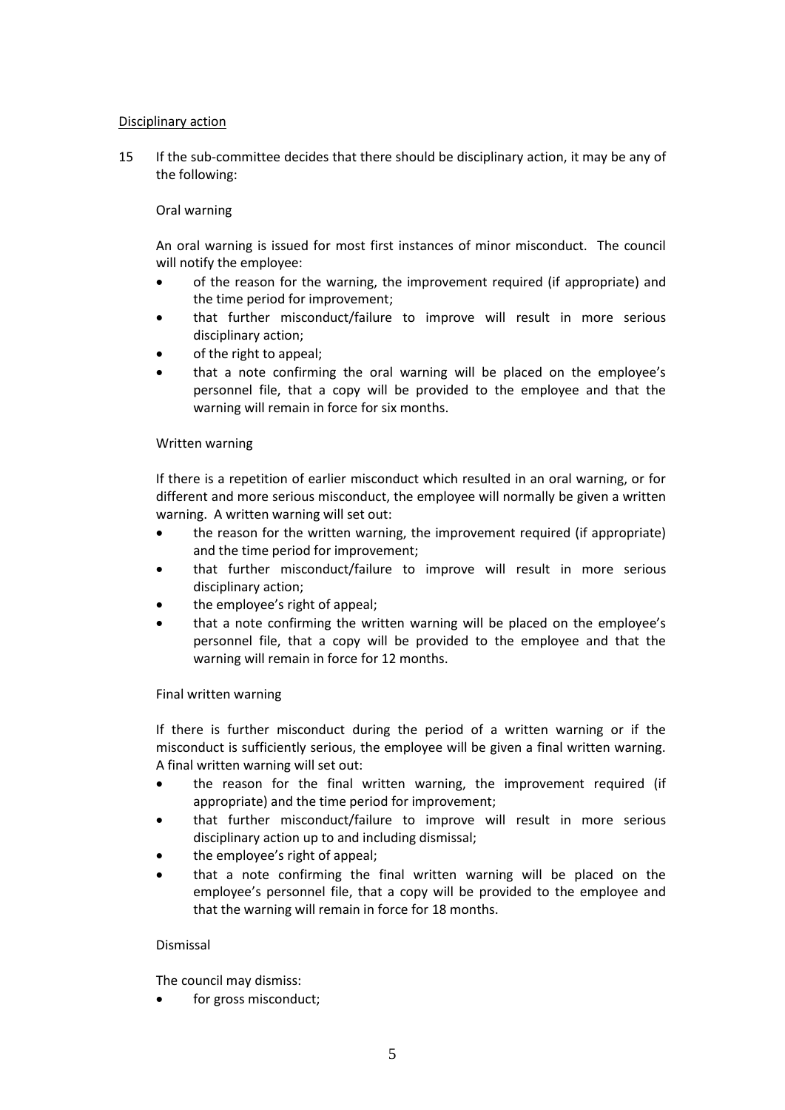### Disciplinary action

15 If the sub-committee decides that there should be disciplinary action, it may be any of the following:

### Oral warning

An oral warning is issued for most first instances of minor misconduct. The council will notify the employee:

- of the reason for the warning, the improvement required (if appropriate) and the time period for improvement;
- that further misconduct/failure to improve will result in more serious disciplinary action;
- of the right to appeal;
- that a note confirming the oral warning will be placed on the employee's personnel file, that a copy will be provided to the employee and that the warning will remain in force for six months.

#### Written warning

If there is a repetition of earlier misconduct which resulted in an oral warning, or for different and more serious misconduct, the employee will normally be given a written warning. A written warning will set out:

- the reason for the written warning, the improvement required (if appropriate) and the time period for improvement;
- that further misconduct/failure to improve will result in more serious disciplinary action;
- the employee's right of appeal;
- that a note confirming the written warning will be placed on the employee's personnel file, that a copy will be provided to the employee and that the warning will remain in force for 12 months.

#### Final written warning

If there is further misconduct during the period of a written warning or if the misconduct is sufficiently serious, the employee will be given a final written warning. A final written warning will set out:

- the reason for the final written warning, the improvement required (if appropriate) and the time period for improvement;
- that further misconduct/failure to improve will result in more serious disciplinary action up to and including dismissal;
- the employee's right of appeal;
- that a note confirming the final written warning will be placed on the employee's personnel file, that a copy will be provided to the employee and that the warning will remain in force for 18 months.

#### Dismissal

The council may dismiss:

for gross misconduct;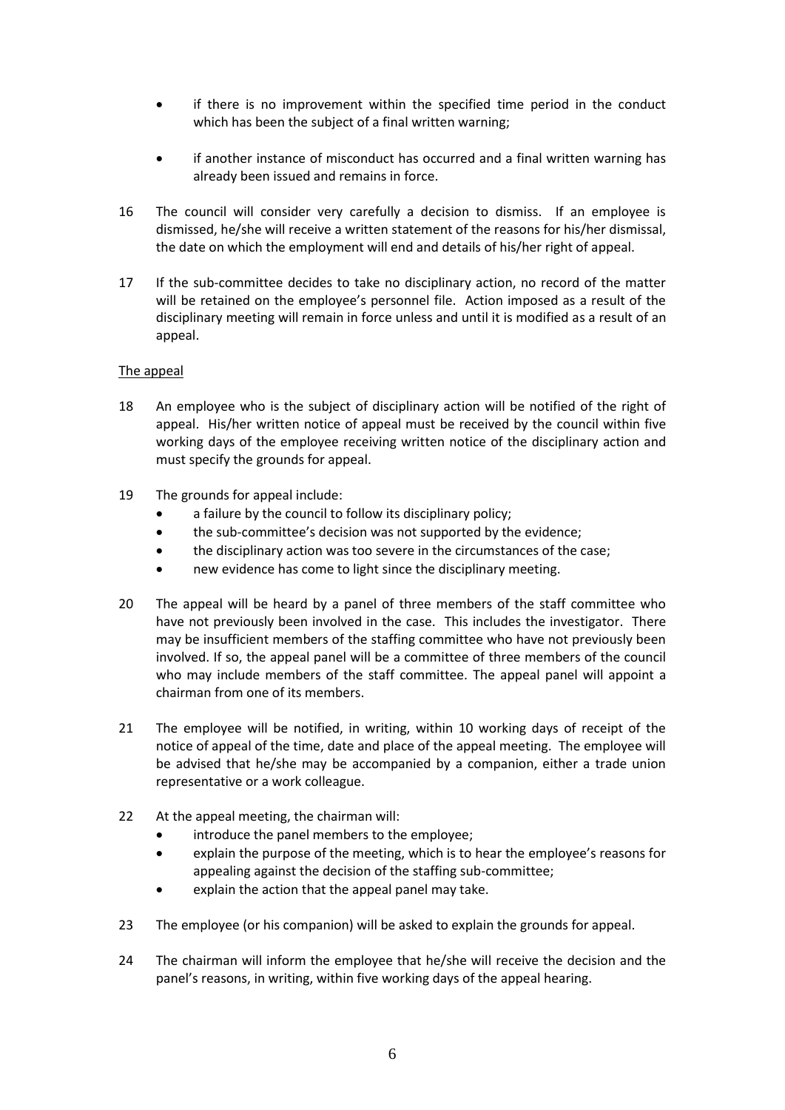- if there is no improvement within the specified time period in the conduct which has been the subject of a final written warning;
- if another instance of misconduct has occurred and a final written warning has already been issued and remains in force.
- 16 The council will consider very carefully a decision to dismiss. If an employee is dismissed, he/she will receive a written statement of the reasons for his/her dismissal, the date on which the employment will end and details of his/her right of appeal.
- 17 If the sub-committee decides to take no disciplinary action, no record of the matter will be retained on the employee's personnel file. Action imposed as a result of the disciplinary meeting will remain in force unless and until it is modified as a result of an appeal.

### The appeal

- 18 An employee who is the subject of disciplinary action will be notified of the right of appeal. His/her written notice of appeal must be received by the council within five working days of the employee receiving written notice of the disciplinary action and must specify the grounds for appeal.
- 19 The grounds for appeal include:
	- a failure by the council to follow its disciplinary policy;
	- the sub-committee's decision was not supported by the evidence;
	- the disciplinary action was too severe in the circumstances of the case;
	- new evidence has come to light since the disciplinary meeting.
- 20 The appeal will be heard by a panel of three members of the staff committee who have not previously been involved in the case. This includes the investigator. There may be insufficient members of the staffing committee who have not previously been involved. If so, the appeal panel will be a committee of three members of the council who may include members of the staff committee. The appeal panel will appoint a chairman from one of its members.
- 21 The employee will be notified, in writing, within 10 working days of receipt of the notice of appeal of the time, date and place of the appeal meeting. The employee will be advised that he/she may be accompanied by a companion, either a trade union representative or a work colleague.
- 22 At the appeal meeting, the chairman will:
	- introduce the panel members to the employee;
	- explain the purpose of the meeting, which is to hear the employee's reasons for appealing against the decision of the staffing sub-committee;
	- explain the action that the appeal panel may take.
- 23 The employee (or his companion) will be asked to explain the grounds for appeal.
- 24 The chairman will inform the employee that he/she will receive the decision and the panel's reasons, in writing, within five working days of the appeal hearing.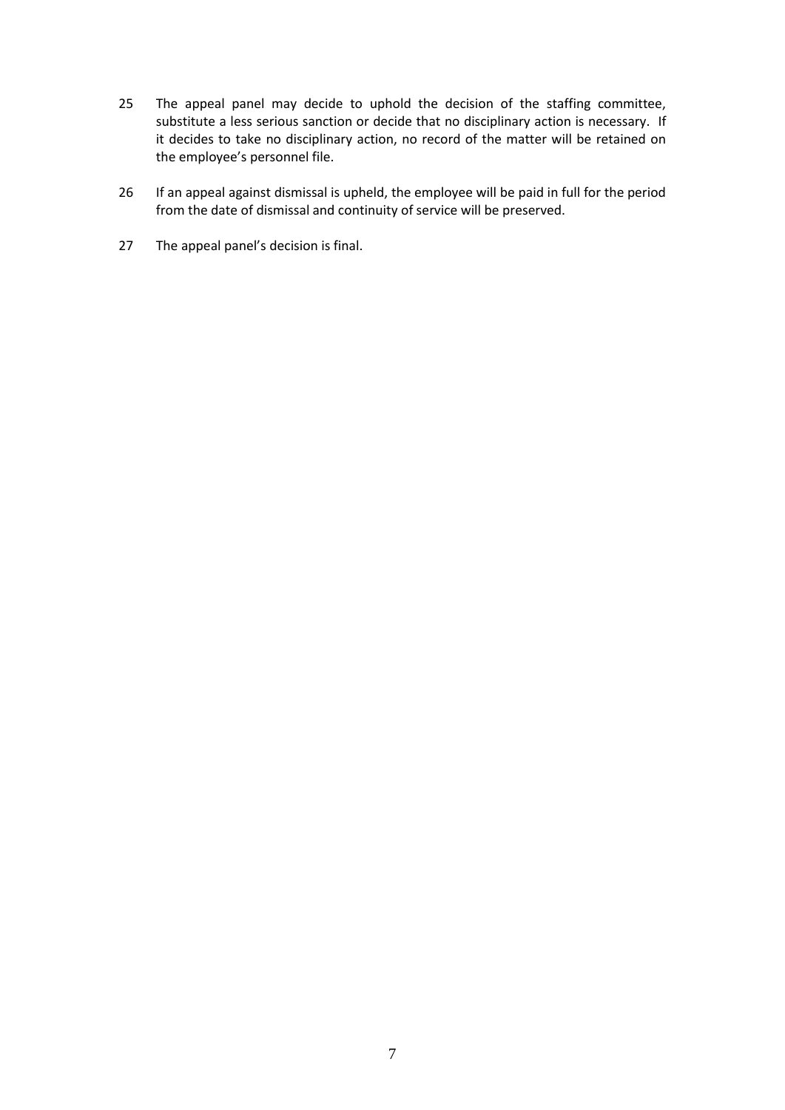- 25 The appeal panel may decide to uphold the decision of the staffing committee, substitute a less serious sanction or decide that no disciplinary action is necessary. If it decides to take no disciplinary action, no record of the matter will be retained on the employee's personnel file.
- 26 If an appeal against dismissal is upheld, the employee will be paid in full for the period from the date of dismissal and continuity of service will be preserved.
- 27 The appeal panel's decision is final.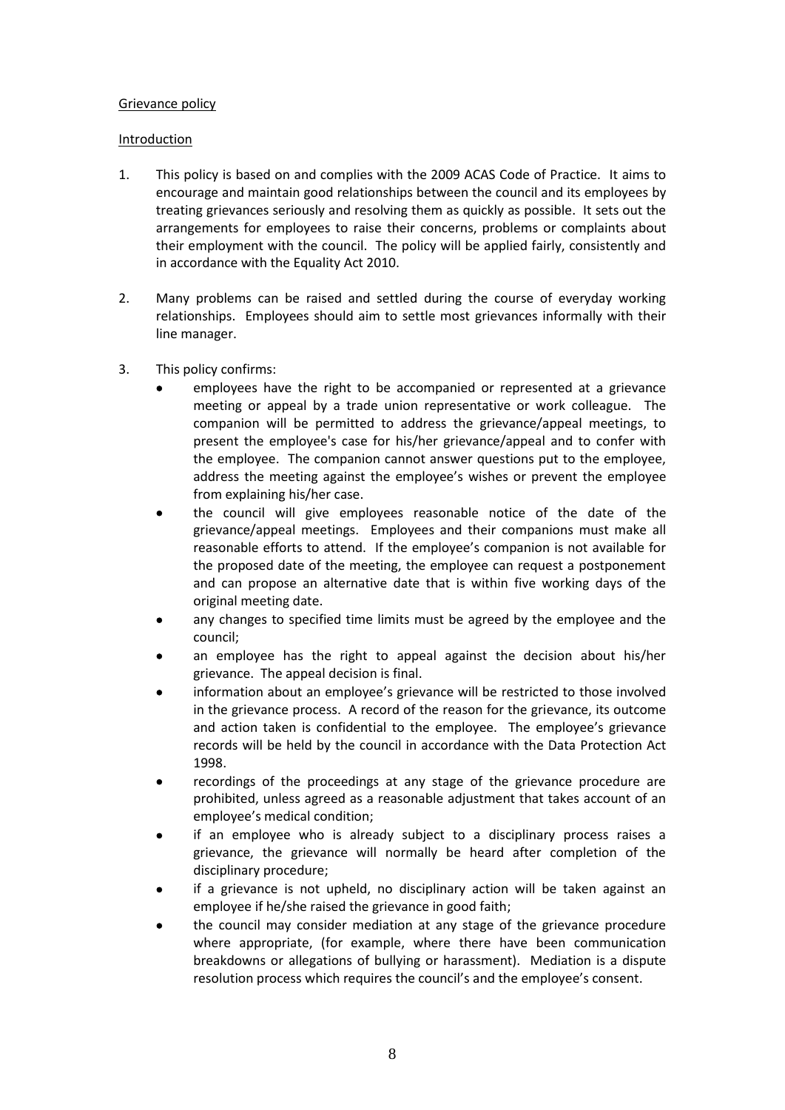### Grievance policy

### Introduction

- 1. This policy is based on and complies with the 2009 ACAS Code of Practice. It aims to encourage and maintain good relationships between the council and its employees by treating grievances seriously and resolving them as quickly as possible. It sets out the arrangements for employees to raise their concerns, problems or complaints about their employment with the council. The policy will be applied fairly, consistently and in accordance with the Equality Act 2010.
- 2. Many problems can be raised and settled during the course of everyday working relationships. Employees should aim to settle most grievances informally with their line manager.
- 3. This policy confirms:
	- employees have the right to be accompanied or represented at a grievance meeting or appeal by a trade union representative or work colleague. The companion will be permitted to address the grievance/appeal meetings, to present the employee's case for his/her grievance/appeal and to confer with the employee. The companion cannot answer questions put to the employee, address the meeting against the employee's wishes or prevent the employee from explaining his/her case.
	- the council will give employees reasonable notice of the date of the grievance/appeal meetings. Employees and their companions must make all reasonable efforts to attend. If the employee's companion is not available for the proposed date of the meeting, the employee can request a postponement and can propose an alternative date that is within five working days of the original meeting date.
	- any changes to specified time limits must be agreed by the employee and the council;
	- an employee has the right to appeal against the decision about his/her grievance. The appeal decision is final.
	- information about an employee's grievance will be restricted to those involved in the grievance process. A record of the reason for the grievance, its outcome and action taken is confidential to the employee. The employee's grievance records will be held by the council in accordance with the Data Protection Act 1998.
	- recordings of the proceedings at any stage of the grievance procedure are prohibited, unless agreed as a reasonable adjustment that takes account of an employee's medical condition;
	- if an employee who is already subject to a disciplinary process raises a grievance, the grievance will normally be heard after completion of the disciplinary procedure;
	- if a grievance is not upheld, no disciplinary action will be taken against an employee if he/she raised the grievance in good faith;
	- the council may consider mediation at any stage of the grievance procedure where appropriate, (for example, where there have been communication breakdowns or allegations of bullying or harassment). Mediation is a dispute resolution process which requires the council's and the employee's consent.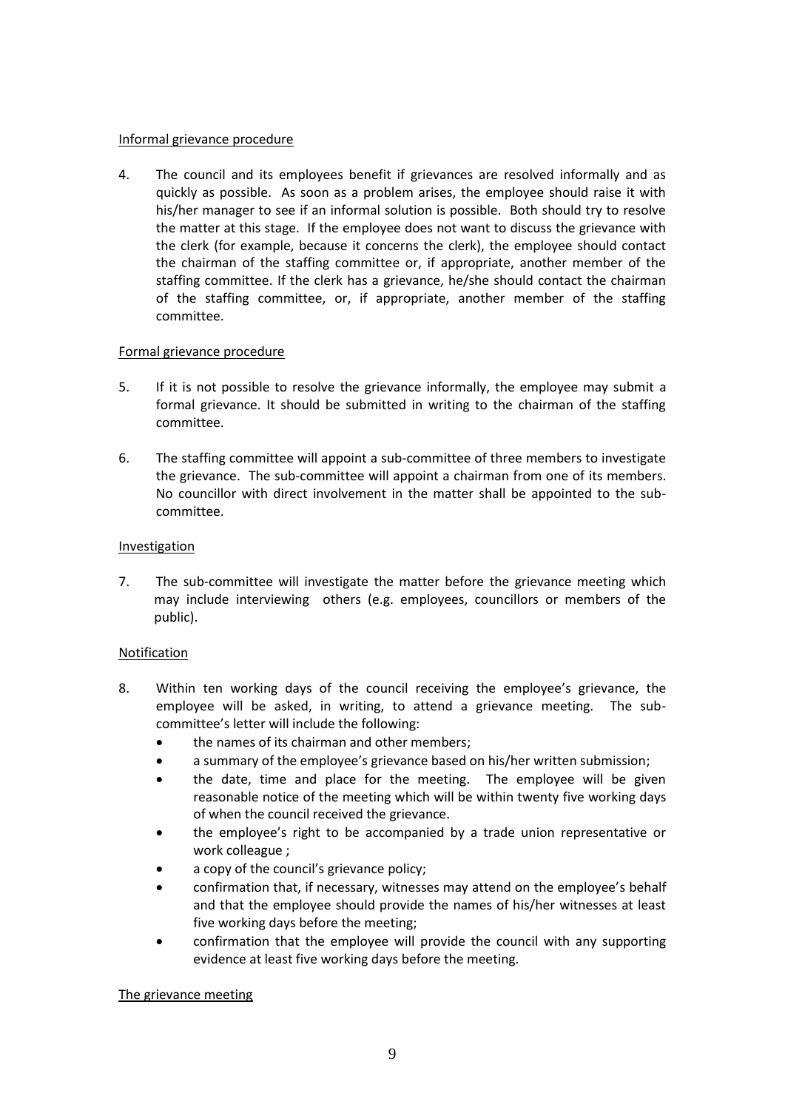#### Informal grievance procedure

4. The council and its employees benefit if grievances are resolved informally and as quickly as possible. As soon as a problem arises, the employee should raise it with his/her manager to see if an informal solution is possible. Both should try to resolve the matter at this stage. If the employee does not want to discuss the grievance with the clerk (for example, because it concerns the clerk), the employee should contact the chairman of the staffing committee or, if appropriate, another member of the staffing committee. If the clerk has a grievance, he/she should contact the chairman of the staffing committee, or, if appropriate, another member of the staffing committee.

### Formal grievance procedure

- 5. If it is not possible to resolve the grievance informally, the employee may submit a formal grievance. It should be submitted in writing to the chairman of the staffing committee.
- 6. The staffing committee will appoint a sub-committee of three members to investigate the grievance. The sub-committee will appoint a chairman from one of its members. No councillor with direct involvement in the matter shall be appointed to the subcommittee.

# Investigation

7. The sub-committee will investigate the matter before the grievance meeting which may include interviewing others (e.g. employees, councillors or members of the public).

### Notification

- 8. Within ten working days of the council receiving the employee's grievance, the employee will be asked, in writing, to attend a grievance meeting. The subcommittee's letter will include the following:
	- the names of its chairman and other members:
	- a summary of the employee's grievance based on his/her written submission;
	- the date, time and place for the meeting. The employee will be given reasonable notice of the meeting which will be within twenty five working days of when the council received the grievance.
	- the employee's right to be accompanied by a trade union representative or work colleague ;
	- a copy of the council's grievance policy;
	- confirmation that, if necessary, witnesses may attend on the employee's behalf and that the employee should provide the names of his/her witnesses at least five working days before the meeting;
	- confirmation that the employee will provide the council with any supporting evidence at least five working days before the meeting.

### The grievance meeting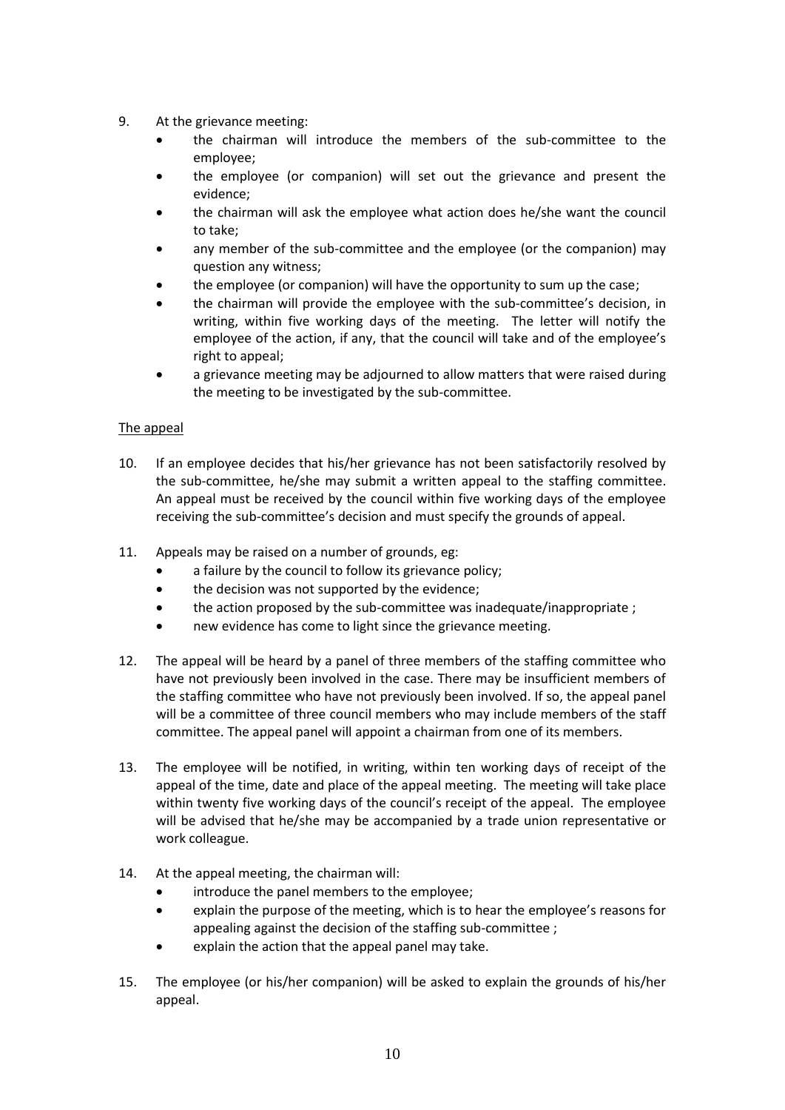- 9. At the grievance meeting:
	- the chairman will introduce the members of the sub-committee to the employee;
	- the employee (or companion) will set out the grievance and present the evidence;
	- the chairman will ask the employee what action does he/she want the council to take;
	- any member of the sub-committee and the employee (or the companion) may question any witness;
	- the employee (or companion) will have the opportunity to sum up the case;
	- the chairman will provide the employee with the sub-committee's decision, in writing, within five working days of the meeting. The letter will notify the employee of the action, if any, that the council will take and of the employee's right to appeal;
	- a grievance meeting may be adjourned to allow matters that were raised during the meeting to be investigated by the sub-committee.

# The appeal

- 10. If an employee decides that his/her grievance has not been satisfactorily resolved by the sub-committee, he/she may submit a written appeal to the staffing committee. An appeal must be received by the council within five working days of the employee receiving the sub-committee's decision and must specify the grounds of appeal.
- 11. Appeals may be raised on a number of grounds, eg:
	- a failure by the council to follow its grievance policy;
	- the decision was not supported by the evidence;
	- the action proposed by the sub-committee was inadequate/inappropriate ;
	- new evidence has come to light since the grievance meeting.
- 12. The appeal will be heard by a panel of three members of the staffing committee who have not previously been involved in the case. There may be insufficient members of the staffing committee who have not previously been involved. If so, the appeal panel will be a committee of three council members who may include members of the staff committee. The appeal panel will appoint a chairman from one of its members.
- 13. The employee will be notified, in writing, within ten working days of receipt of the appeal of the time, date and place of the appeal meeting. The meeting will take place within twenty five working days of the council's receipt of the appeal. The employee will be advised that he/she may be accompanied by a trade union representative or work colleague.
- 14. At the appeal meeting, the chairman will:
	- introduce the panel members to the employee;
	- explain the purpose of the meeting, which is to hear the employee's reasons for appealing against the decision of the staffing sub-committee ;
	- explain the action that the appeal panel may take.
- 15. The employee (or his/her companion) will be asked to explain the grounds of his/her appeal.